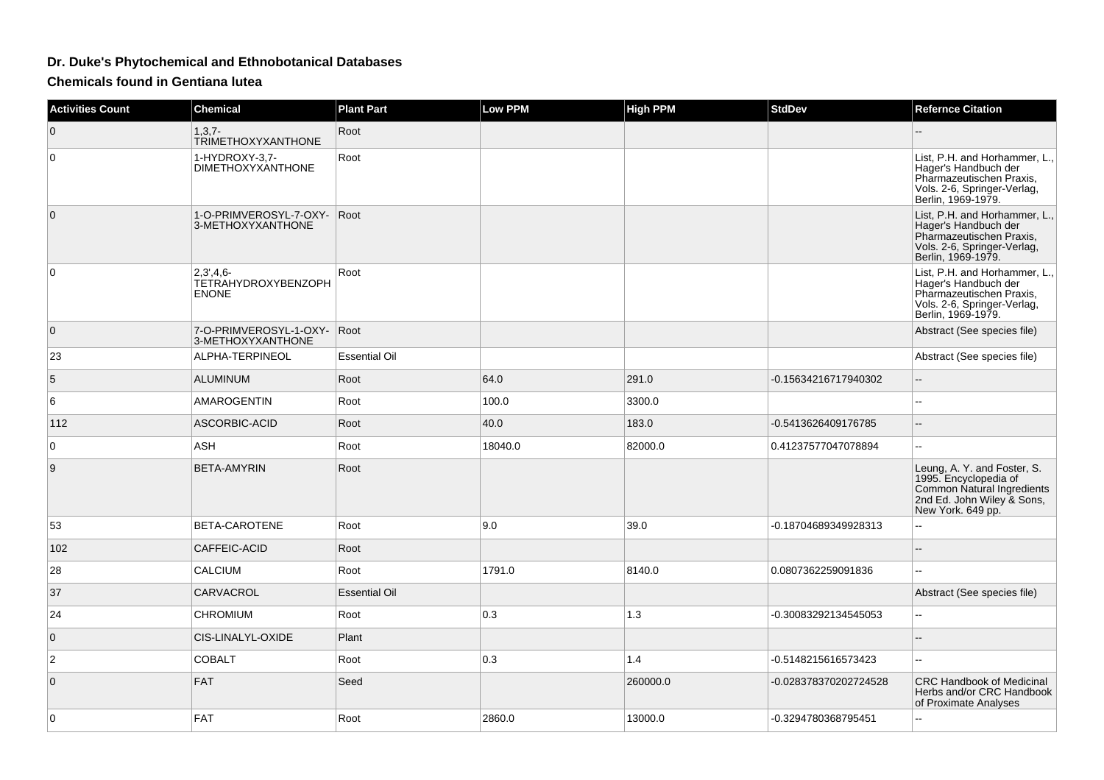## **Dr. Duke's Phytochemical and Ethnobotanical Databases**

**Chemicals found in Gentiana lutea**

| <b>Activities Count</b> | <b>Chemical</b>                                    | <b>Plant Part</b>    | <b>Low PPM</b> | <b>High PPM</b> | <b>StdDev</b>         | <b>Refernce Citation</b>                                                                                                               |
|-------------------------|----------------------------------------------------|----------------------|----------------|-----------------|-----------------------|----------------------------------------------------------------------------------------------------------------------------------------|
| $\mathbf 0$             | $1, 3, 7 -$<br><b>TRIMETHOXYXANTHONE</b>           | Root                 |                |                 |                       |                                                                                                                                        |
| $\Omega$                | 1-HYDROXY-3.7-<br><b>DIMETHOXYXANTHONE</b>         | Root                 |                |                 |                       | List, P.H. and Horhammer, L.,<br>Hager's Handbuch der<br>Pharmazeutischen Praxis,<br>Vols. 2-6, Springer-Verlag,<br>Berlin, 1969-1979. |
| $\mathbf{0}$            | 1-O-PRIMVEROSYL-7-OXY- Root<br>3-METHOXYXANTHONE   |                      |                |                 |                       | List, P.H. and Horhammer, L.,<br>Hager's Handbuch der<br>Pharmazeutischen Praxis,<br>Vols. 2-6, Springer-Verlag,<br>Berlin, 1969-1979. |
| 0                       | $2,3',4,6-$<br>TETRAHYDROXYBENZOPH<br><b>ENONE</b> | Root                 |                |                 |                       | List, P.H. and Horhammer, L.,<br>Hager's Handbuch der<br>Pharmazeutischen Praxis,<br>Vols. 2-6, Springer-Verlag,<br>Berlin, 1969-1979. |
| $\overline{0}$          | 7-O-PRIMVEROSYL-1-OXY- Root<br>3-METHOXYXANTHONE   |                      |                |                 |                       | Abstract (See species file)                                                                                                            |
| 23                      | ALPHA-TERPINEOL                                    | <b>Essential Oil</b> |                |                 |                       | Abstract (See species file)                                                                                                            |
| 5                       | <b>ALUMINUM</b>                                    | Root                 | 64.0           | 291.0           | -0.15634216717940302  | Ξ.                                                                                                                                     |
| 6                       | AMAROGENTIN                                        | Root                 | 100.0          | 3300.0          |                       | --                                                                                                                                     |
| 112                     | ASCORBIC-ACID                                      | Root                 | 40.0           | 183.0           | -0.5413626409176785   | $\overline{\phantom{a}}$                                                                                                               |
| 0                       | <b>ASH</b>                                         | Root                 | 18040.0        | 82000.0         | 0.41237577047078894   | --                                                                                                                                     |
| 9                       | <b>BETA-AMYRIN</b>                                 | Root                 |                |                 |                       | Leung, A. Y. and Foster, S.<br>1995. Encyclopedia of<br>Common Natural Ingredients<br>2nd Ed. John Wiley & Sons,<br>New York. 649 pp.  |
| 53                      | BETA-CAROTENE                                      | Root                 | 9.0            | 39.0            | -0.18704689349928313  | ۰.                                                                                                                                     |
| 102                     | CAFFEIC-ACID                                       | Root                 |                |                 |                       |                                                                                                                                        |
| 28                      | CALCIUM                                            | Root                 | 1791.0         | 8140.0          | 0.0807362259091836    |                                                                                                                                        |
| 37                      | CARVACROL                                          | <b>Essential Oil</b> |                |                 |                       | Abstract (See species file)                                                                                                            |
| 24                      | CHROMIUM                                           | Root                 | 0.3            | 1.3             | -0.30083292134545053  | Щ,                                                                                                                                     |
| $\mathbf{0}$            | CIS-LINALYL-OXIDE                                  | Plant                |                |                 |                       | --                                                                                                                                     |
| 2                       | <b>COBALT</b>                                      | Root                 | 0.3            | 1.4             | -0.5148215616573423   |                                                                                                                                        |
| $\mathbf{0}$            | <b>FAT</b>                                         | Seed                 |                | 260000.0        | -0.028378370202724528 | <b>CRC Handbook of Medicinal</b><br>Herbs and/or CRC Handbook<br>of Proximate Analyses                                                 |
| $\Omega$                | <b>FAT</b>                                         | Root                 | 2860.0         | 13000.0         | -0.3294780368795451   |                                                                                                                                        |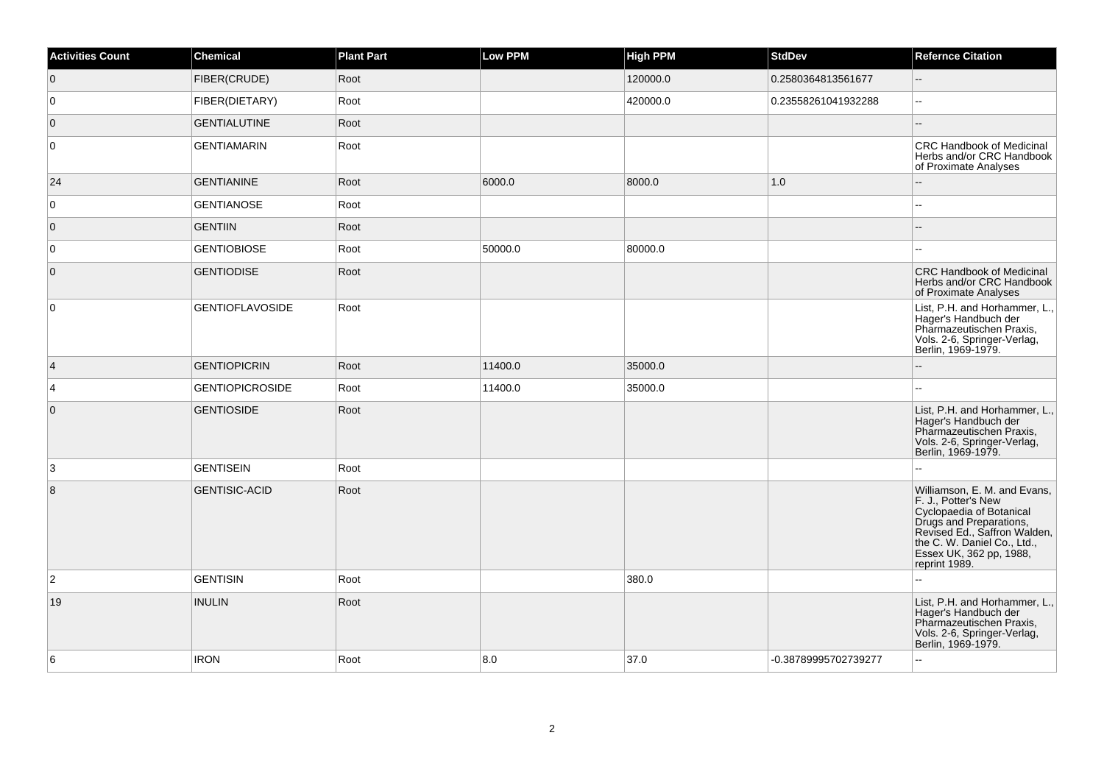| <b>Activities Count</b> | Chemical               | <b>Plant Part</b> | <b>Low PPM</b> | <b>High PPM</b> | <b>StdDev</b>        | <b>Refernce Citation</b>                                                                                                                                                                                              |
|-------------------------|------------------------|-------------------|----------------|-----------------|----------------------|-----------------------------------------------------------------------------------------------------------------------------------------------------------------------------------------------------------------------|
| $\overline{0}$          | FIBER(CRUDE)           | Root              |                | 120000.0        | 0.2580364813561677   | $\sim$ $\sim$                                                                                                                                                                                                         |
| 0                       | FIBER(DIETARY)         | Root              |                | 420000.0        | 0.23558261041932288  | $\overline{\phantom{a}}$                                                                                                                                                                                              |
| $\overline{0}$          | <b>GENTIALUTINE</b>    | Root              |                |                 |                      |                                                                                                                                                                                                                       |
| 0                       | <b>GENTIAMARIN</b>     | Root              |                |                 |                      | CRC Handbook of Medicinal<br>Herbs and/or CRC Handbook<br>of Proximate Analyses                                                                                                                                       |
| 24                      | <b>GENTIANINE</b>      | Root              | 6000.0         | 8000.0          | 1.0                  |                                                                                                                                                                                                                       |
| $\overline{0}$          | <b>GENTIANOSE</b>      | Root              |                |                 |                      | ۵.                                                                                                                                                                                                                    |
| $\overline{0}$          | <b>GENTIIN</b>         | Root              |                |                 |                      |                                                                                                                                                                                                                       |
| 0                       | <b>GENTIOBIOSE</b>     | Root              | 50000.0        | 80000.0         |                      | ۵.                                                                                                                                                                                                                    |
| $\overline{0}$          | <b>GENTIODISE</b>      | Root              |                |                 |                      | <b>CRC Handbook of Medicinal</b><br>Herbs and/or CRC Handbook<br>of Proximate Analyses                                                                                                                                |
| 0                       | <b>GENTIOFLAVOSIDE</b> | Root              |                |                 |                      | List, P.H. and Horhammer, L.,<br>Hager's Handbuch der<br>Pharmazeutischen Praxis,<br>Vols. 2-6, Springer-Verlag,<br>Berlin, 1969-1979.                                                                                |
| $\vert 4 \vert$         | <b>GENTIOPICRIN</b>    | Root              | 11400.0        | 35000.0         |                      |                                                                                                                                                                                                                       |
| 4                       | <b>GENTIOPICROSIDE</b> | Root              | 11400.0        | 35000.0         |                      |                                                                                                                                                                                                                       |
| $\overline{0}$          | <b>GENTIOSIDE</b>      | Root              |                |                 |                      | List, P.H. and Horhammer, L.,<br>Hager's Handbuch der<br>Pharmazeutischen Praxis,<br>Vols. 2-6, Springer-Verlag,<br>Berlin, 1969-1979.                                                                                |
| 3                       | GENTISEIN              | Root              |                |                 |                      |                                                                                                                                                                                                                       |
| $\bf 8$                 | <b>GENTISIC-ACID</b>   | Root              |                |                 |                      | Williamson, E. M. and Evans,<br>F. J., Potter's New<br>Cyclopaedia of Botanical<br>Drugs and Preparations,<br>Revised Ed., Saffron Walden,<br>the C. W. Daniel Co., Ltd.,<br>Essex UK, 362 pp, 1988,<br>reprint 1989. |
| $\overline{2}$          | <b>GENTISIN</b>        | Root              |                | 380.0           |                      | шш.                                                                                                                                                                                                                   |
| 19                      | <b>INULIN</b>          | Root              |                |                 |                      | List, P.H. and Horhammer, L.,<br>Hager's Handbuch der<br>Pharmazeutischen Praxis,<br>Vols. 2-6, Springer-Verlag,<br>Berlin, 1969-1979.                                                                                |
| 6                       | <b>IRON</b>            | Root              | 8.0            | 37.0            | -0.38789995702739277 | $-1$                                                                                                                                                                                                                  |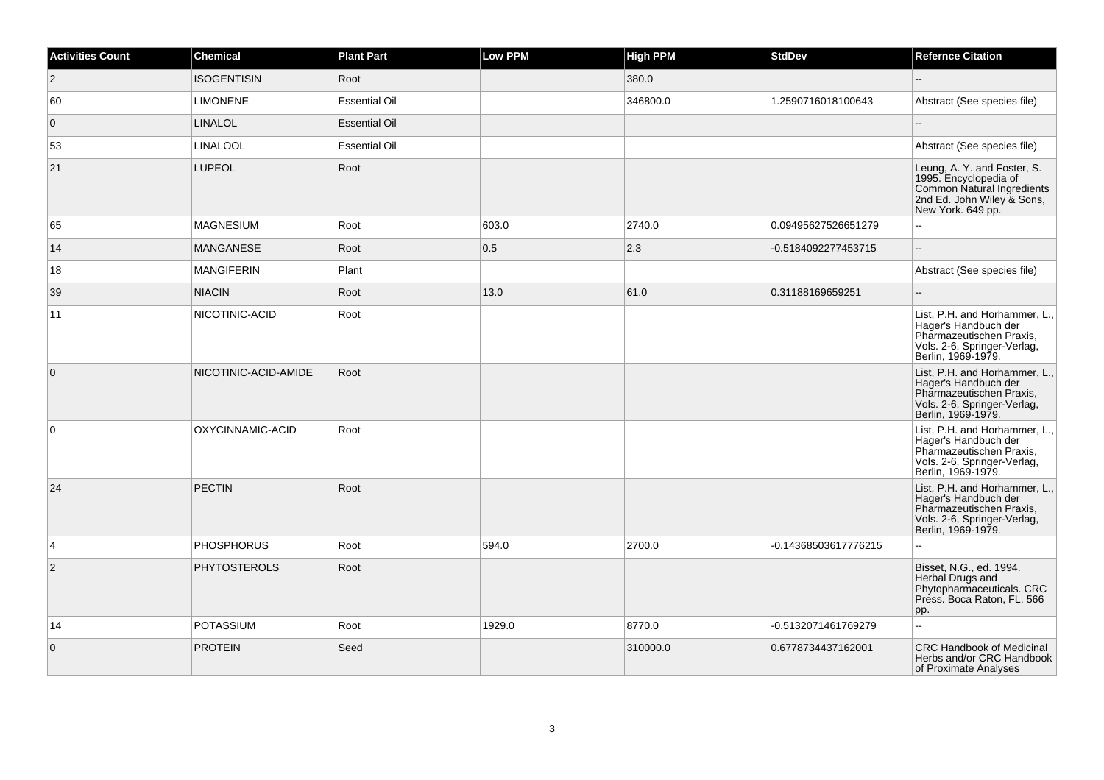| <b>Activities Count</b> | <b>Chemical</b>      | <b>Plant Part</b>    | <b>Low PPM</b> | <b>High PPM</b> | <b>StdDev</b>        | <b>Refernce Citation</b>                                                                                                               |
|-------------------------|----------------------|----------------------|----------------|-----------------|----------------------|----------------------------------------------------------------------------------------------------------------------------------------|
| $\overline{2}$          | <b>ISOGENTISIN</b>   | Root                 |                | 380.0           |                      | $\overline{\phantom{a}}$                                                                                                               |
| 60                      | <b>LIMONENE</b>      | <b>Essential Oil</b> |                | 346800.0        | 1.2590716018100643   | Abstract (See species file)                                                                                                            |
| $\overline{0}$          | <b>LINALOL</b>       | <b>Essential Oil</b> |                |                 |                      |                                                                                                                                        |
| 53                      | <b>LINALOOL</b>      | <b>Essential Oil</b> |                |                 |                      | Abstract (See species file)                                                                                                            |
| 21                      | <b>LUPEOL</b>        | Root                 |                |                 |                      | Leung, A. Y. and Foster, S.<br>1995. Encyclopedia of<br>Common Natural Ingredients<br>2nd Ed. John Wiley & Sons,<br>New York. 649 pp.  |
| 65                      | <b>MAGNESIUM</b>     | Root                 | 603.0          | 2740.0          | 0.09495627526651279  | шш.                                                                                                                                    |
| 14                      | <b>MANGANESE</b>     | Root                 | 0.5            | $ 2.3\rangle$   | -0.5184092277453715  | ш,                                                                                                                                     |
| 18                      | <b>MANGIFERIN</b>    | Plant                |                |                 |                      | Abstract (See species file)                                                                                                            |
| 39                      | <b>NIACIN</b>        | Root                 | 13.0           | 61.0            | 0.31188169659251     |                                                                                                                                        |
| 11                      | NICOTINIC-ACID       | Root                 |                |                 |                      | List, P.H. and Horhammer, L.,<br>Hager's Handbuch der<br>Pharmazeutischen Praxis,<br>Vols. 2-6, Springer-Verlag,<br>Berlin, 1969-1979. |
| $\overline{0}$          | NICOTINIC-ACID-AMIDE | Root                 |                |                 |                      | List, P.H. and Horhammer, L.,<br>Hager's Handbuch der<br>Pharmazeutischen Praxis,<br>Vols. 2-6, Springer-Verlag,<br>Berlin, 1969-1979. |
| $\overline{0}$          | OXYCINNAMIC-ACID     | Root                 |                |                 |                      | List, P.H. and Horhammer, L.,<br>Hager's Handbuch der<br>Pharmazeutischen Praxis,<br>Vols. 2-6, Springer-Verlag,<br>Berlin, 1969-1979. |
| 24                      | <b>PECTIN</b>        | Root                 |                |                 |                      | List, P.H. and Horhammer, L.,<br>Hager's Handbuch der<br>Pharmazeutischen Praxis,<br>Vols. 2-6, Springer-Verlag,<br>Berlin, 1969-1979. |
| $\overline{4}$          | <b>PHOSPHORUS</b>    | Root                 | 594.0          | 2700.0          | -0.14368503617776215 | 44                                                                                                                                     |
| $\overline{2}$          | <b>PHYTOSTEROLS</b>  | Root                 |                |                 |                      | Bisset, N.G., ed. 1994.<br>Herbal Drugs and<br>Phytopharmaceuticals. CRC<br>Press. Boca Raton, FL. 566<br>pp.                          |
| 14                      | <b>POTASSIUM</b>     | Root                 | 1929.0         | 8770.0          | -0.5132071461769279  | L.                                                                                                                                     |
| $\overline{0}$          | <b>PROTEIN</b>       | Seed                 |                | 310000.0        | 0.6778734437162001   | <b>CRC Handbook of Medicinal</b><br>Herbs and/or CRC Handbook<br>of Proximate Analyses                                                 |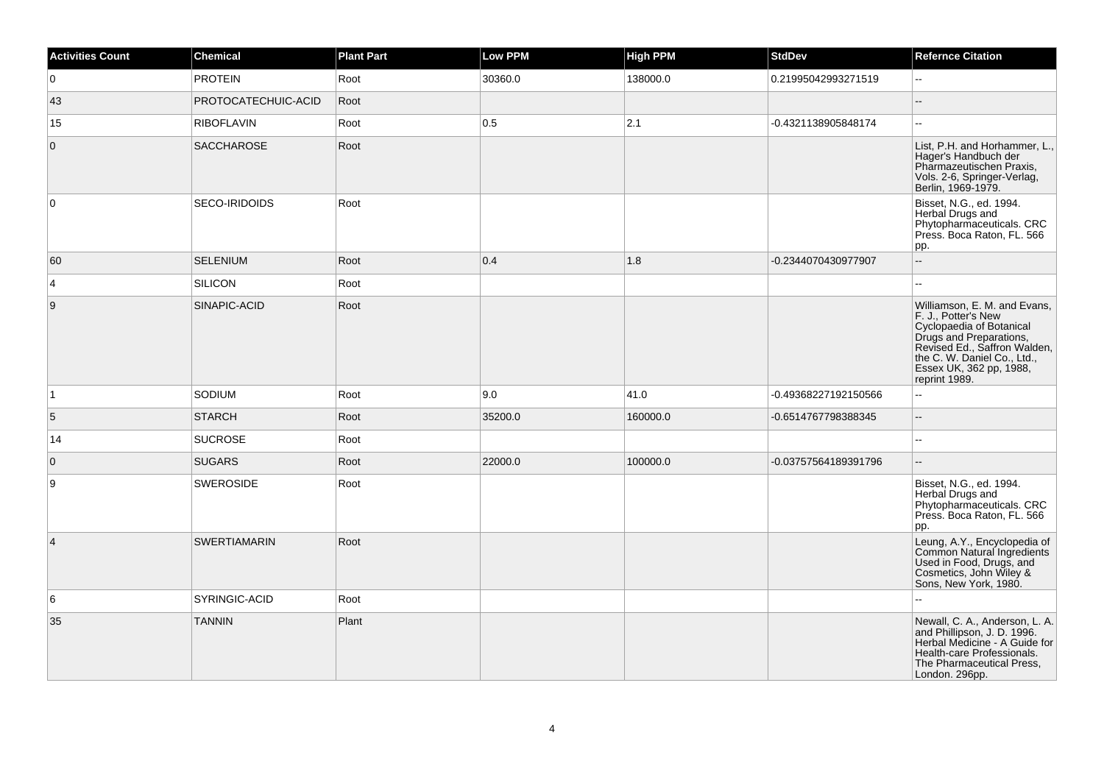| <b>Activities Count</b> | <b>Chemical</b>     | <b>Plant Part</b> | Low PPM | <b>High PPM</b> | <b>StdDev</b>        | <b>Refernce Citation</b>                                                                                                                                                                                              |
|-------------------------|---------------------|-------------------|---------|-----------------|----------------------|-----------------------------------------------------------------------------------------------------------------------------------------------------------------------------------------------------------------------|
| 0                       | <b>PROTEIN</b>      | Root              | 30360.0 | 138000.0        | 0.21995042993271519  | Ξ.                                                                                                                                                                                                                    |
| 43                      | PROTOCATECHUIC-ACID | Root              |         |                 |                      | --                                                                                                                                                                                                                    |
| 15                      | <b>RIBOFLAVIN</b>   | Root              | 0.5     | 2.1             | -0.4321138905848174  | $\overline{\phantom{a}}$                                                                                                                                                                                              |
| $\overline{0}$          | <b>SACCHAROSE</b>   | Root              |         |                 |                      | List, P.H. and Horhammer, L.,<br>Hager's Handbuch der<br>Pharmazeutischen Praxis,<br>Vols. 2-6, Springer-Verlag,<br>Berlin, 1969-1979.                                                                                |
| $\overline{0}$          | SECO-IRIDOIDS       | Root              |         |                 |                      | Bisset, N.G., ed. 1994.<br>Herbal Drugs and<br>Phytopharmaceuticals. CRC<br>Press. Boca Raton, FL. 566<br>pp.                                                                                                         |
| 60                      | <b>SELENIUM</b>     | Root              | 0.4     | 1.8             | -0.2344070430977907  | Ξ.                                                                                                                                                                                                                    |
| $\vert 4 \vert$         | SILICON             | Root              |         |                 |                      | 44                                                                                                                                                                                                                    |
| 9                       | SINAPIC-ACID        | Root              |         |                 |                      | Williamson, E. M. and Evans,<br>F. J., Potter's New<br>Cyclopaedia of Botanical<br>Drugs and Preparations,<br>Revised Ed., Saffron Walden,<br>the C. W. Daniel Co., Ltd.,<br>Essex UK, 362 pp, 1988,<br>reprint 1989. |
| $\overline{1}$          | SODIUM              | Root              | 9.0     | 41.0            | -0.49368227192150566 | ă.                                                                                                                                                                                                                    |
| 5                       | <b>STARCH</b>       | Root              | 35200.0 | 160000.0        | -0.6514767798388345  | $\overline{\phantom{a}}$                                                                                                                                                                                              |
| 14                      | <b>SUCROSE</b>      | Root              |         |                 |                      | $\overline{\phantom{a}}$                                                                                                                                                                                              |
| $\overline{0}$          | <b>SUGARS</b>       | Root              | 22000.0 | 100000.0        | -0.03757564189391796 | ш,                                                                                                                                                                                                                    |
| 9                       | <b>SWEROSIDE</b>    | Root              |         |                 |                      | Bisset, N.G., ed. 1994.<br>Herbal Drugs and<br>Phytopharmaceuticals. CRC<br>Press. Boca Raton, FL. 566<br>pp.                                                                                                         |
| $\vert 4 \vert$         | <b>SWERTIAMARIN</b> | Root              |         |                 |                      | Leung, A.Y., Encyclopedia of<br>Common Natural Ingredients<br>Used in Food, Drugs, and<br>Cosmetics, John Wiley &<br>Sons, New York, 1980.                                                                            |
| 6                       | SYRINGIC-ACID       | Root              |         |                 |                      | Ξ.                                                                                                                                                                                                                    |
| 35                      | <b>TANNIN</b>       | Plant             |         |                 |                      | Newall, C. A., Anderson, L. A.<br>and Phillipson, J. D. 1996.<br>Herbal Medicine - A Guide for<br>Health-care Professionals.<br>The Pharmaceutical Press,<br>London. 296pp.                                           |